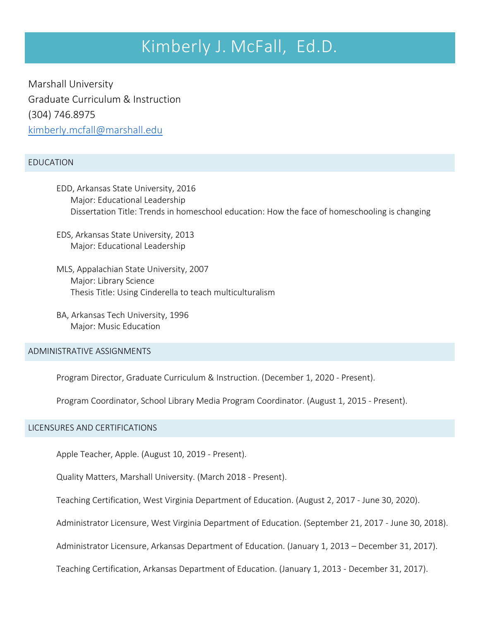# Kimberly J. McFall, Ed.D.

Marshall University Graduate Curriculum & Instruction (304) 746.8975 [kimberly.mcfall@marshall.edu](mailto:kimberly.mcfall@marshall.edu)

## EDUCATION

- EDD, Arkansas State University, 2016 Major: Educational Leadership Dissertation Title: Trends in homeschool education: How the face of homeschooling is changing
- EDS, Arkansas State University, 2013 Major: Educational Leadership
- MLS, Appalachian State University, 2007 Major: Library Science Thesis Title: Using Cinderella to teach multiculturalism
- BA, Arkansas Tech University, 1996 Major: Music Education

ADMINISTRATIVE ASSIGNMENTS

Program Director, Graduate Curriculum & Instruction. (December 1, 2020 - Present).

Program Coordinator, School Library Media Program Coordinator. (August 1, 2015 - Present).

## LICENSURES AND CERTIFICATIONS

Apple Teacher, Apple. (August 10, 2019 - Present).

Quality Matters, Marshall University. (March 2018 - Present).

Teaching Certification, West Virginia Department of Education. (August 2, 2017 - June 30, 2020).

Administrator Licensure, West Virginia Department of Education. (September 21, 2017 - June 30, 2018).

Administrator Licensure, Arkansas Department of Education. (January 1, 2013 – December 31, 2017).

Teaching Certification, Arkansas Department of Education. (January 1, 2013 - December 31, 2017).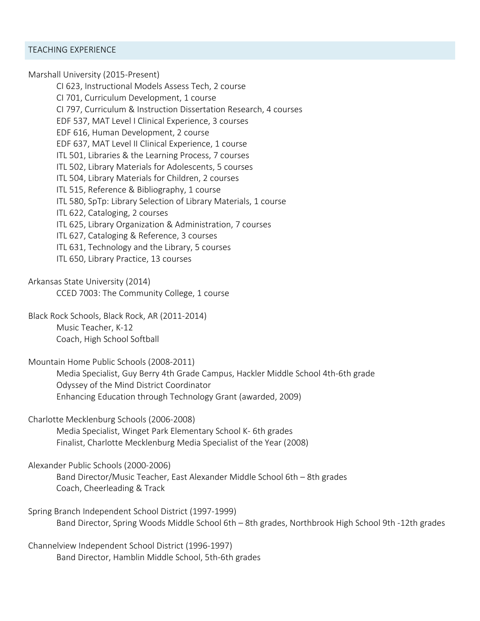Marshall University (2015-Present)

CI 623, Instructional Models Assess Tech, 2 course CI 701, Curriculum Development, 1 course CI 797, Curriculum & Instruction Dissertation Research, 4 courses EDF 537, MAT Level I Clinical Experience, 3 courses EDF 616, Human Development, 2 course EDF 637, MAT Level II Clinical Experience, 1 course ITL 501, Libraries & the Learning Process, 7 courses ITL 502, Library Materials for Adolescents, 5 courses ITL 504, Library Materials for Children, 2 courses ITL 515, Reference & Bibliography, 1 course ITL 580, SpTp: Library Selection of Library Materials, 1 course ITL 622, Cataloging, 2 courses ITL 625, Library Organization & Administration, 7 courses ITL 627, Cataloging & Reference, 3 courses ITL 631, Technology and the Library, 5 courses ITL 650, Library Practice, 13 courses

Arkansas State University (2014) CCED 7003: The Community College, 1 course

Black Rock Schools, Black Rock, AR (2011-2014) Music Teacher, K-12 Coach, High School Softball

Mountain Home Public Schools (2008-2011) Media Specialist, Guy Berry 4th Grade Campus, Hackler Middle School 4th-6th grade Odyssey of the Mind District Coordinator Enhancing Education through Technology Grant (awarded, 2009)

Charlotte Mecklenburg Schools (2006-2008) Media Specialist, Winget Park Elementary School K- 6th grades Finalist, Charlotte Mecklenburg Media Specialist of the Year (2008)

Alexander Public Schools (2000-2006) Band Director/Music Teacher, East Alexander Middle School 6th – 8th grades Coach, Cheerleading & Track

Spring Branch Independent School District (1997-1999) Band Director, Spring Woods Middle School 6th – 8th grades, Northbrook High School 9th -12th grades

Channelview Independent School District (1996-1997) Band Director, Hamblin Middle School, 5th-6th grades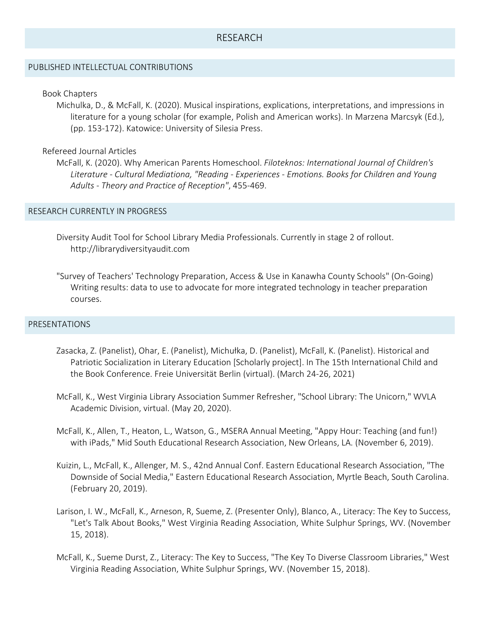# RESEARCH

## PUBLISHED INTELLECTUAL CONTRIBUTIONS

### Book Chapters

Michulka, D., & McFall, K. (2020). Musical inspirations, explications, interpretations, and impressions in literature for a young scholar (for example, Polish and American works). In Marzena Marcsyk (Ed.), (pp. 153-172). Katowice: University of Silesia Press.

## Refereed Journal Articles

McFall, K. (2020). Why American Parents Homeschool. *Filoteknos: International Journal of Children's Literature - Cultural Mediationa, "Reading - Experiences - Emotions. Books for Children and Young Adults - Theory and Practice of Reception"*, 455-469.

## RESEARCH CURRENTLY IN PROGRESS

- Diversity Audit Tool for School Library Media Professionals. Currently in stage 2 of rollout[.](http://librarydiversityaudit.com/) [http://librarydiversityaudit.com](http://librarydiversityaudit.com/)
- "Survey of Teachers' Technology Preparation, Access & Use in Kanawha County Schools" (On-Going) Writing results: data to use to advocate for more integrated technology in teacher preparation courses.

#### PRESENTATIONS

- Zasacka, Z. (Panelist), Ohar, E. (Panelist), Michułka, D. (Panelist), McFall, K. (Panelist). Historical and Patriotic Socialization in Literary Education [Scholarly project]. In The 15th International Child and the Book Conference. Freie Universität Berlin (virtual). (March 24-26, 2021)
- McFall, K., West Virginia Library Association Summer Refresher, "School Library: The Unicorn," WVLA Academic Division, virtual. (May 20, 2020).
- McFall, K., Allen, T., Heaton, L., Watson, G., MSERA Annual Meeting, "Appy Hour: Teaching (and fun!) with iPads," Mid South Educational Research Association, New Orleans, LA. (November 6, 2019).
- Kuizin, L., McFall, K., Allenger, M. S., 42nd Annual Conf. Eastern Educational Research Association, "The Downside of Social Media," Eastern Educational Research Association, Myrtle Beach, South Carolina. (February 20, 2019).
- Larison, I. W., McFall, K., Arneson, R, Sueme, Z. (Presenter Only), Blanco, A., Literacy: The Key to Success, "Let's Talk About Books," West Virginia Reading Association, White Sulphur Springs, WV. (November 15, 2018).
- McFall, K., Sueme Durst, Z., Literacy: The Key to Success, "The Key To Diverse Classroom Libraries," West Virginia Reading Association, White Sulphur Springs, WV. (November 15, 2018).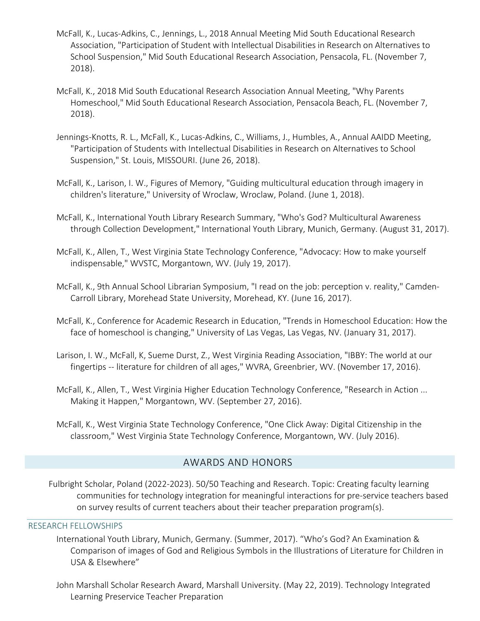- McFall, K., Lucas-Adkins, C., Jennings, L., 2018 Annual Meeting Mid South Educational Research Association, "Participation of Student with Intellectual Disabilities in Research on Alternatives to School Suspension," Mid South Educational Research Association, Pensacola, FL. (November 7, 2018).
- McFall, K., 2018 Mid South Educational Research Association Annual Meeting, "Why Parents Homeschool," Mid South Educational Research Association, Pensacola Beach, FL. (November 7, 2018).
- Jennings-Knotts, R. L., McFall, K., Lucas-Adkins, C., Williams, J., Humbles, A., Annual AAIDD Meeting, "Participation of Students with Intellectual Disabilities in Research on Alternatives to School Suspension," St. Louis, MISSOURI. (June 26, 2018).
- McFall, K., Larison, I. W., Figures of Memory, "Guiding multicultural education through imagery in children's literature," University of Wroclaw, Wroclaw, Poland. (June 1, 2018).
- McFall, K., International Youth Library Research Summary, "Who's God? Multicultural Awareness through Collection Development," International Youth Library, Munich, Germany. (August 31, 2017).
- McFall, K., Allen, T., West Virginia State Technology Conference, "Advocacy: How to make yourself indispensable," WVSTC, Morgantown, WV. (July 19, 2017).
- McFall, K., 9th Annual School Librarian Symposium, "I read on the job: perception v. reality," Camden-Carroll Library, Morehead State University, Morehead, KY. (June 16, 2017).
- McFall, K., Conference for Academic Research in Education, "Trends in Homeschool Education: How the face of homeschool is changing," University of Las Vegas, Las Vegas, NV. (January 31, 2017).
- Larison, I. W., McFall, K, Sueme Durst, Z., West Virginia Reading Association, "IBBY: The world at our fingertips -- literature for children of all ages," WVRA, Greenbrier, WV. (November 17, 2016).
- McFall, K., Allen, T., West Virginia Higher Education Technology Conference, "Research in Action ... Making it Happen," Morgantown, WV. (September 27, 2016).
- McFall, K., West Virginia State Technology Conference, "One Click Away: Digital Citizenship in the classroom," West Virginia State Technology Conference, Morgantown, WV. (July 2016).

# AWARDS AND HONORS

Fulbright Scholar, Poland (2022-2023). 50/50 Teaching and Research. Topic: Creating faculty learning communities for technology integration for meaningful interactions for pre-service teachers based on survey results of current teachers about their teacher preparation program(s).

# RESEARCH FELLOWSHIPS

- International Youth Library, Munich, Germany. (Summer, 2017). "Who's God? An Examination & Comparison of images of God and Religious Symbols in the Illustrations of Literature for Children in USA & Elsewhere"
- John Marshall Scholar Research Award, Marshall University. (May 22, 2019). Technology Integrated Learning Preservice Teacher Preparation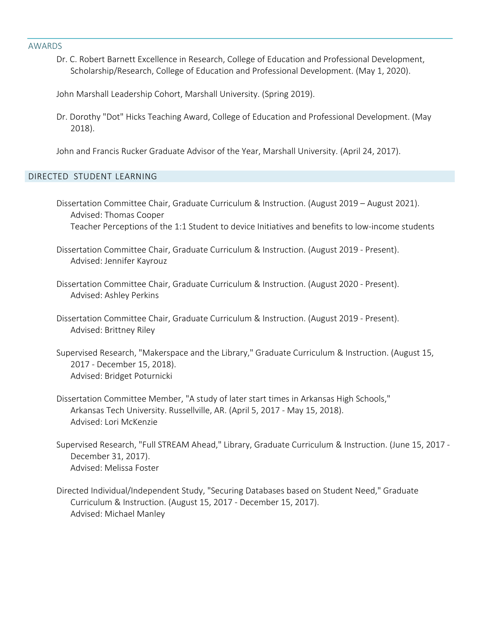#### AWARDS

Dr. C. Robert Barnett Excellence in Research, College of Education and Professional Development, Scholarship/Research, College of Education and Professional Development. (May 1, 2020).

John Marshall Leadership Cohort, Marshall University. (Spring 2019).

Dr. Dorothy "Dot" Hicks Teaching Award, College of Education and Professional Development. (May 2018).

John and Francis Rucker Graduate Advisor of the Year, Marshall University. (April 24, 2017).

# DIRECTED STUDENT LEARNING

Dissertation Committee Chair, Graduate Curriculum & Instruction. (August 2019 – August 2021). Advised: Thomas Cooper Teacher Perceptions of the 1:1 Student to device Initiatives and benefits to low-income students

Dissertation Committee Chair, Graduate Curriculum & Instruction. (August 2019 - Present). Advised: Jennifer Kayrouz

- Dissertation Committee Chair, Graduate Curriculum & Instruction. (August 2020 Present). Advised: Ashley Perkins
- Dissertation Committee Chair, Graduate Curriculum & Instruction. (August 2019 Present). Advised: Brittney Riley
- Supervised Research, "Makerspace and the Library," Graduate Curriculum & Instruction. (August 15, 2017 - December 15, 2018). Advised: Bridget Poturnicki
- Dissertation Committee Member, "A study of later start times in Arkansas High Schools," Arkansas Tech University. Russellville, AR. (April 5, 2017 - May 15, 2018). Advised: Lori McKenzie
- Supervised Research, "Full STREAM Ahead," Library, Graduate Curriculum & Instruction. (June 15, 2017 December 31, 2017). Advised: Melissa Foster
- Directed Individual/Independent Study, "Securing Databases based on Student Need," Graduate Curriculum & Instruction. (August 15, 2017 - December 15, 2017). Advised: Michael Manley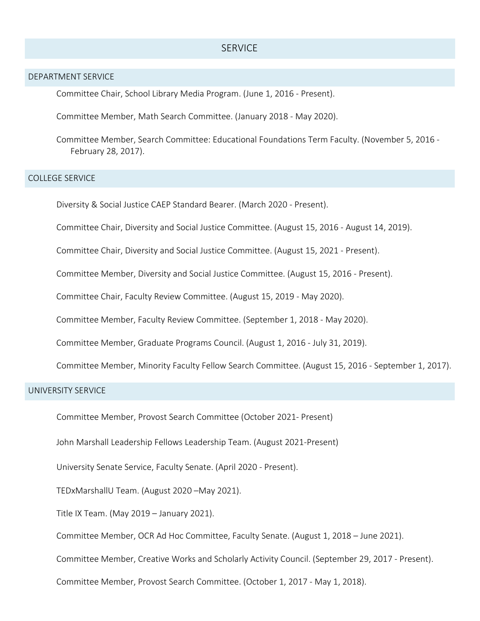# **SERVICE**

## DEPARTMENT SERVICE

Committee Chair, School Library Media Program. (June 1, 2016 - Present).

Committee Member, Math Search Committee. (January 2018 - May 2020).

Committee Member, Search Committee: Educational Foundations Term Faculty. (November 5, 2016 - February 28, 2017).

## COLLEGE SERVICE

Diversity & Social Justice CAEP Standard Bearer. (March 2020 - Present).

Committee Chair, Diversity and Social Justice Committee. (August 15, 2016 - August 14, 2019).

Committee Chair, Diversity and Social Justice Committee. (August 15, 2021 - Present).

Committee Member, Diversity and Social Justice Committee. (August 15, 2016 - Present).

Committee Chair, Faculty Review Committee. (August 15, 2019 - May 2020).

Committee Member, Faculty Review Committee. (September 1, 2018 - May 2020).

Committee Member, Graduate Programs Council. (August 1, 2016 - July 31, 2019).

Committee Member, Minority Faculty Fellow Search Committee. (August 15, 2016 - September 1, 2017).

## UNIVERSITY SERVICE

Committee Member, Provost Search Committee (October 2021- Present)

John Marshall Leadership Fellows Leadership Team. (August 2021-Present)

University Senate Service, Faculty Senate. (April 2020 - Present).

TEDxMarshallU Team. (August 2020 –May 2021).

Title IX Team. (May 2019 – January 2021).

Committee Member, OCR Ad Hoc Committee, Faculty Senate. (August 1, 2018 – June 2021).

Committee Member, Creative Works and Scholarly Activity Council. (September 29, 2017 - Present).

Committee Member, Provost Search Committee. (October 1, 2017 - May 1, 2018).